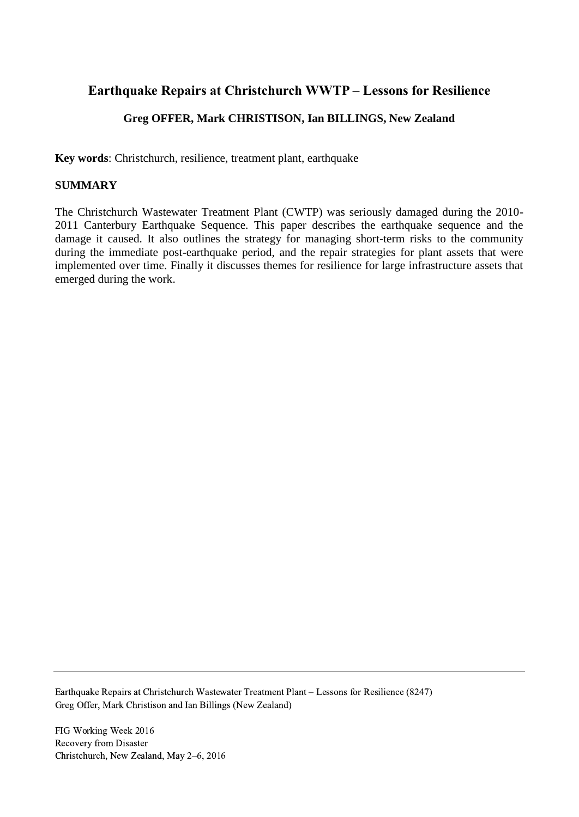# **Earthquake Repairs at Christchurch WWTP – Lessons for Resilience**

# **Greg OFFER, Mark CHRISTISON, Ian BILLINGS, New Zealand**

**Key words**: Christchurch, resilience, treatment plant, earthquake

### **SUMMARY**

The Christchurch Wastewater Treatment Plant (CWTP) was seriously damaged during the 2010- 2011 Canterbury Earthquake Sequence. This paper describes the earthquake sequence and the damage it caused. It also outlines the strategy for managing short-term risks to the community during the immediate post-earthquake period, and the repair strategies for plant assets that were implemented over time. Finally it discusses themes for resilience for large infrastructure assets that emerged during the work.

Earthquake Repairs at Christchurch Wastewater Treatment Plant – Lessons for Resilience (8247) Greg Offer, Mark Christison and Ian Billings (New Zealand)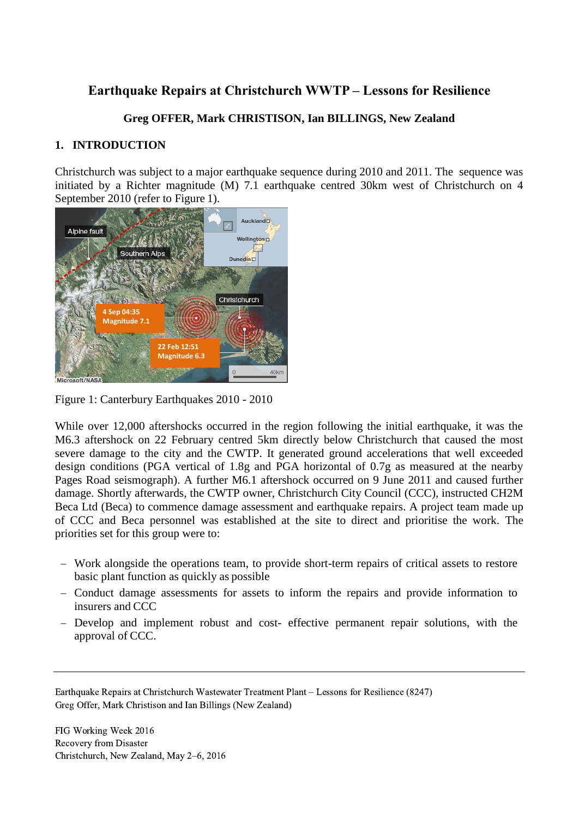# **Earthquake Repairs at Christchurch WWTP – Lessons for Resilience**

### **Greg OFFER, Mark CHRISTISON, Ian BILLINGS, New Zealand**

### **1. INTRODUCTION**

Christchurch was subject to a major earthquake sequence during 2010 and 2011. The sequence was initiated by a Richter magnitude (M) 7.1 earthquake centred 30km west of Christchurch on 4 September 2010 (refer to Figure 1).



Figure 1: Canterbury Earthquakes 2010 - 2010

While over 12,000 aftershocks occurred in the region following the initial earthquake, it was the M6.3 aftershock on 22 February centred 5km directly below Christchurch that caused the most severe damage to the city and the CWTP. It generated ground accelerations that well exceeded design conditions (PGA vertical of 1.8g and PGA horizontal of 0.7g as measured at the nearby Pages Road seismograph). A further M6.1 aftershock occurred on 9 June 2011 and caused further damage. Shortly afterwards, the CWTP owner, Christchurch City Council (CCC), instructed CH2M Beca Ltd (Beca) to commence damage assessment and earthquake repairs. A project team made up of CCC and Beca personnel was established at the site to direct and prioritise the work. The priorities set for this group were to:

- Work alongside the operations team, to provide short-term repairs of critical assets to restore basic plant function as quickly as possible
- Conduct damage assessments for assets to inform the repairs and provide information to insurers and CCC
- Develop and implement robust and cost- effective permanent repair solutions, with the approval of CCC.

Earthquake Repairs at Christchurch Wastewater Treatment Plant – Lessons for Resilience (8247) Greg Offer, Mark Christison and Ian Billings (New Zealand)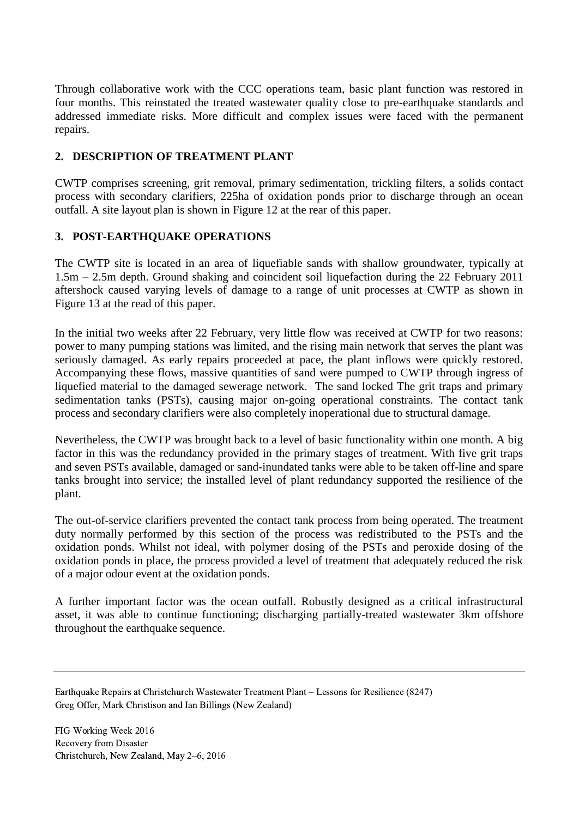Through collaborative work with the CCC operations team, basic plant function was restored in four months. This reinstated the treated wastewater quality close to pre-earthquake standards and addressed immediate risks. More difficult and complex issues were faced with the permanent repairs.

## **2. DESCRIPTION OF TREATMENT PLANT**

CWTP comprises screening, grit removal, primary sedimentation, trickling filters, a solids contact process with secondary clarifiers, 225ha of oxidation ponds prior to discharge through an ocean outfall. A site layout plan is shown in Figure 12 at the rear of this paper.

## **3. POST-EARTHQUAKE OPERATIONS**

The CWTP site is located in an area of liquefiable sands with shallow groundwater, typically at 1.5m – 2.5m depth. Ground shaking and coincident soil liquefaction during the 22 February 2011 aftershock caused varying levels of damage to a range of unit processes at CWTP as shown in Figure 13 at the read of this paper.

In the initial two weeks after 22 February, very little flow was received at CWTP for two reasons: power to many pumping stations was limited, and the rising main network that serves the plant was seriously damaged. As early repairs proceeded at pace, the plant inflows were quickly restored. Accompanying these flows, massive quantities of sand were pumped to CWTP through ingress of liquefied material to the damaged sewerage network. The sand locked The grit traps and primary sedimentation tanks (PSTs), causing major on-going operational constraints. The contact tank process and secondary clarifiers were also completely inoperational due to structural damage.

Nevertheless, the CWTP was brought back to a level of basic functionality within one month. A big factor in this was the redundancy provided in the primary stages of treatment. With five grit traps and seven PSTs available, damaged or sand-inundated tanks were able to be taken off-line and spare tanks brought into service; the installed level of plant redundancy supported the resilience of the plant.

The out-of-service clarifiers prevented the contact tank process from being operated. The treatment duty normally performed by this section of the process was redistributed to the PSTs and the oxidation ponds. Whilst not ideal, with polymer dosing of the PSTs and peroxide dosing of the oxidation ponds in place, the process provided a level of treatment that adequately reduced the risk of a major odour event at the oxidation ponds.

A further important factor was the ocean outfall. Robustly designed as a critical infrastructural asset, it was able to continue functioning; discharging partially-treated wastewater 3km offshore throughout the earthquake sequence.

Earthquake Repairs at Christchurch Wastewater Treatment Plant – Lessons for Resilience (8247) Greg Offer, Mark Christison and Ian Billings (New Zealand)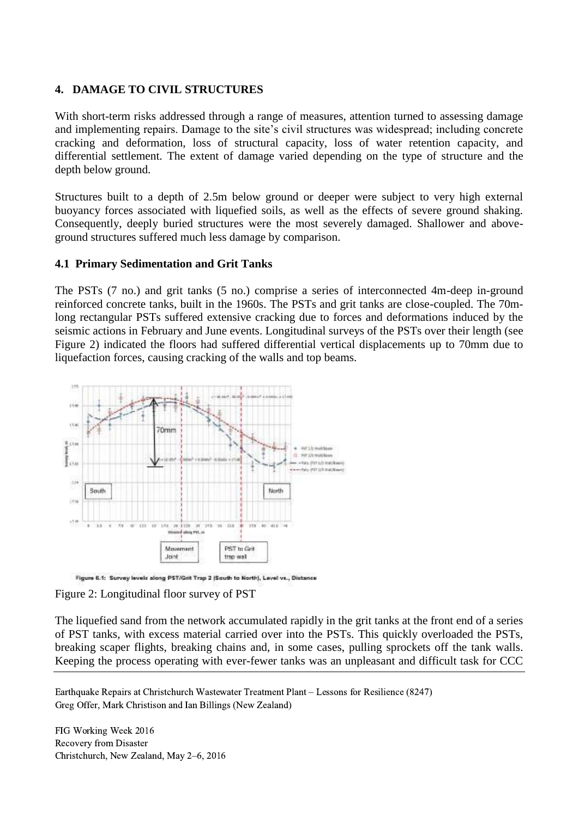### **4. DAMAGE TO CIVIL STRUCTURES**

With short-term risks addressed through a range of measures, attention turned to assessing damage and implementing repairs. Damage to the site's civil structures was widespread; including concrete cracking and deformation, loss of structural capacity, loss of water retention capacity, and differential settlement. The extent of damage varied depending on the type of structure and the depth below ground.

Structures built to a depth of 2.5m below ground or deeper were subject to very high external buoyancy forces associated with liquefied soils, as well as the effects of severe ground shaking. Consequently, deeply buried structures were the most severely damaged. Shallower and aboveground structures suffered much less damage by comparison.

#### **4.1 Primary Sedimentation and Grit Tanks**

The PSTs (7 no.) and grit tanks (5 no.) comprise a series of interconnected 4m-deep in-ground reinforced concrete tanks, built in the 1960s. The PSTs and grit tanks are close-coupled. The 70mlong rectangular PSTs suffered extensive cracking due to forces and deformations induced by the seismic actions in February and June events. Longitudinal surveys of the PSTs over their length (see Figure 2) indicated the floors had suffered differential vertical displacements up to 70mm due to liquefaction forces, causing cracking of the walls and top beams.



Figure 6.1: Survey levels along PST/Grit Trap 2 (South to North), Level vs., Distance

Figure 2: Longitudinal floor survey of PST

The liquefied sand from the network accumulated rapidly in the grit tanks at the front end of a series of PST tanks, with excess material carried over into the PSTs. This quickly overloaded the PSTs, breaking scaper flights, breaking chains and, in some cases, pulling sprockets off the tank walls. Keeping the process operating with ever-fewer tanks was an unpleasant and difficult task for CCC

Earthquake Repairs at Christchurch Wastewater Treatment Plant – Lessons for Resilience (8247) Greg Offer, Mark Christison and Ian Billings (New Zealand)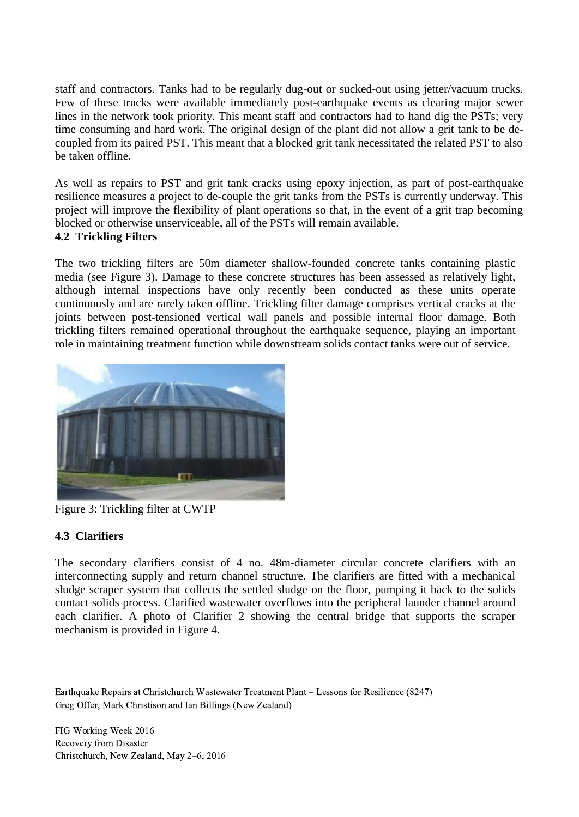staff and contractors. Tanks had to be regularly dug-out or sucked-out using jetter/vacuum trucks. Few of these trucks were available immediately post-earthquake events as clearing major sewer lines in the network took priority. This meant staff and contractors had to hand dig the PSTs; very time consuming and hard work. The original design of the plant did not allow a grit tank to be decoupled from its paired PST. This meant that a blocked grit tank necessitated the related PST to also be taken offline.

As well as repairs to PST and grit tank cracks using epoxy injection, as part of post-earthquake resilience measures a project to de-couple the grit tanks from the PSTs is currently underway. This project will improve the flexibility of plant operations so that, in the event of a grit trap becoming blocked or otherwise unserviceable, all of the PSTs will remain available.

### **4.2 Trickling Filters**

The two trickling filters are 50m diameter shallow-founded concrete tanks containing plastic media (see Figure 3). Damage to these concrete structures has been assessed as relatively light, although internal inspections have only recently been conducted as these units operate continuously and are rarely taken offline. Trickling filter damage comprises vertical cracks at the joints between post-tensioned vertical wall panels and possible internal floor damage. Both trickling filters remained operational throughout the earthquake sequence, playing an important role in maintaining treatment function while downstream solids contact tanks were out of service.



Figure 3: Trickling filter at CWTP

### **4.3 Clarifiers**

The secondary clarifiers consist of 4 no. 48m-diameter circular concrete clarifiers with an interconnecting supply and return channel structure. The clarifiers are fitted with a mechanical sludge scraper system that collects the settled sludge on the floor, pumping it back to the solids contact solids process. Clarified wastewater overflows into the peripheral launder channel around each clarifier. A photo of Clarifier 2 showing the central bridge that supports the scraper mechanism is provided in Figure 4.

Earthquake Repairs at Christchurch Wastewater Treatment Plant – Lessons for Resilience (8247) Greg Offer, Mark Christison and Ian Billings (New Zealand)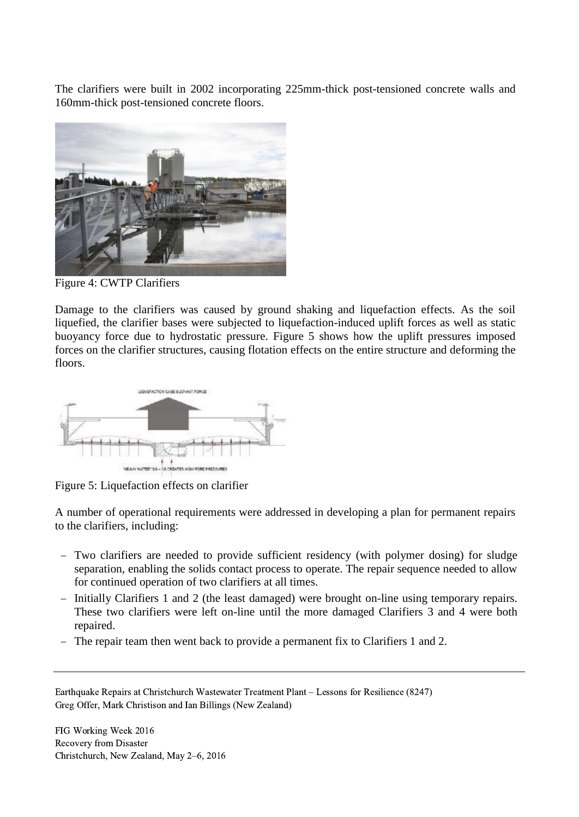The clarifiers were built in 2002 incorporating 225mm-thick post-tensioned concrete walls and 160mm-thick post-tensioned concrete floors.



Figure 4: CWTP Clarifiers

Damage to the clarifiers was caused by ground shaking and liquefaction effects. As the soil liquefied, the clarifier bases were subjected to liquefaction-induced uplift forces as well as static buoyancy force due to hydrostatic pressure. Figure 5 shows how the uplift pressures imposed forces on the clarifier structures, causing flotation effects on the entire structure and deforming the floors.



Figure 5: Liquefaction effects on clarifier

A number of operational requirements were addressed in developing a plan for permanent repairs to the clarifiers, including:

- Two clarifiers are needed to provide sufficient residency (with polymer dosing) for sludge separation, enabling the solids contact process to operate. The repair sequence needed to allow for continued operation of two clarifiers at all times.
- Initially Clarifiers 1 and 2 (the least damaged) were brought on-line using temporary repairs. These two clarifiers were left on-line until the more damaged Clarifiers 3 and 4 were both repaired.
- The repair team then went back to provide a permanent fix to Clarifiers 1 and 2.

Earthquake Repairs at Christchurch Wastewater Treatment Plant – Lessons for Resilience (8247) Greg Offer, Mark Christison and Ian Billings (New Zealand)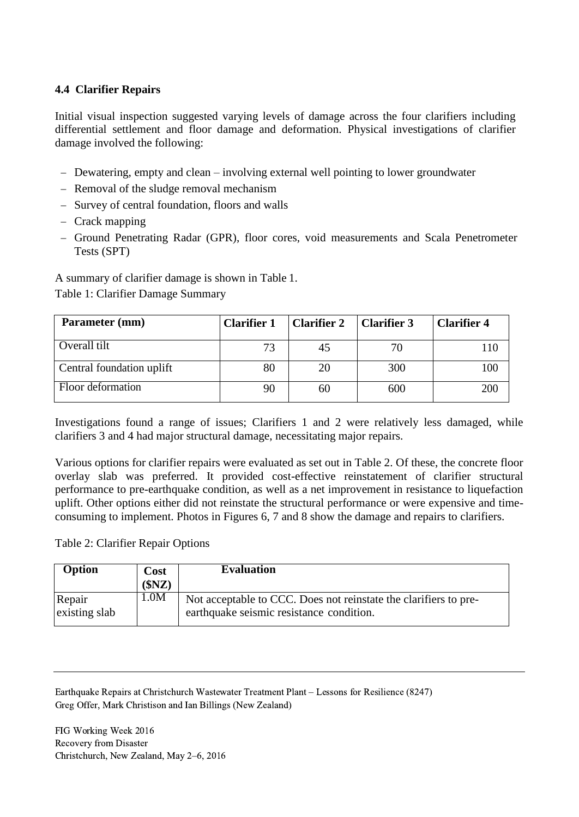### **4.4 Clarifier Repairs**

Initial visual inspection suggested varying levels of damage across the four clarifiers including differential settlement and floor damage and deformation. Physical investigations of clarifier damage involved the following:

- Dewatering, empty and clean involving external well pointing to lower groundwater
- Removal of the sludge removal mechanism
- Survey of central foundation, floors and walls
- Crack mapping
- Ground Penetrating Radar (GPR), floor cores, void measurements and Scala Penetrometer Tests (SPT)

A summary of clarifier damage is shown in Table 1.

Table 1: Clarifier Damage Summary

| Parameter (mm)            | <b>Clarifier 1</b> | Clarifier 2 | <b>Clarifier 3</b> | <b>Clarifier 4</b> |
|---------------------------|--------------------|-------------|--------------------|--------------------|
| Overall tilt              | 73                 | 45          | 70                 |                    |
| Central foundation uplift | 80                 | 20          | 300                | 00                 |
| Floor deformation         |                    | 60          | 600                | 200                |

Investigations found a range of issues; Clarifiers 1 and 2 were relatively less damaged, while clarifiers 3 and 4 had major structural damage, necessitating major repairs.

Various options for clarifier repairs were evaluated as set out in Table 2. Of these, the concrete floor overlay slab was preferred. It provided cost-effective reinstatement of clarifier structural performance to pre-earthquake condition, as well as a net improvement in resistance to liquefaction uplift. Other options either did not reinstate the structural performance or were expensive and timeconsuming to implement. Photos in Figures 6, 7 and 8 show the damage and repairs to clarifiers.

Table 2: Clarifier Repair Options

| Option                  | Cost<br>(SNZ) | <b>Evaluation</b>                                                                                            |
|-------------------------|---------------|--------------------------------------------------------------------------------------------------------------|
| Repair<br>existing slab | 1.0M          | Not acceptable to CCC. Does not reinstate the clarifiers to pre-<br>earthquake seismic resistance condition. |

Earthquake Repairs at Christchurch Wastewater Treatment Plant – Lessons for Resilience (8247) Greg Offer, Mark Christison and Ian Billings (New Zealand)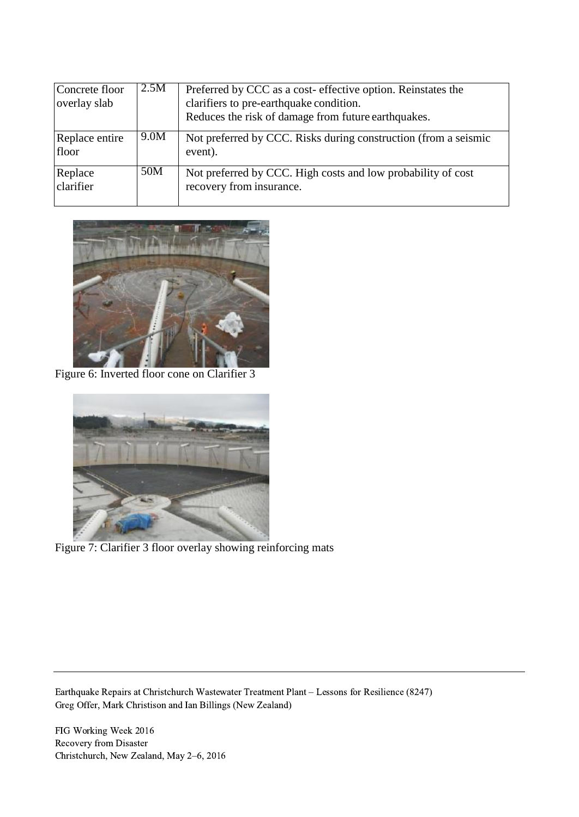| Concrete floor<br>overlay slab | 2.5M | Preferred by CCC as a cost-effective option. Reinstates the<br>clarifiers to pre-earthquake condition.<br>Reduces the risk of damage from future earthquakes. |
|--------------------------------|------|---------------------------------------------------------------------------------------------------------------------------------------------------------------|
| Replace entire<br>floor        | 9.0M | Not preferred by CCC. Risks during construction (from a seismic<br>event).                                                                                    |
| Replace<br>clarifier           | 50M  | Not preferred by CCC. High costs and low probability of cost<br>recovery from insurance.                                                                      |



Figure 6: Inverted floor cone on Clarifier 3



Figure 7: Clarifier 3 floor overlay showing reinforcing mats

Earthquake Repairs at Christchurch Wastewater Treatment Plant – Lessons for Resilience (8247) Greg Offer, Mark Christison and Ian Billings (New Zealand)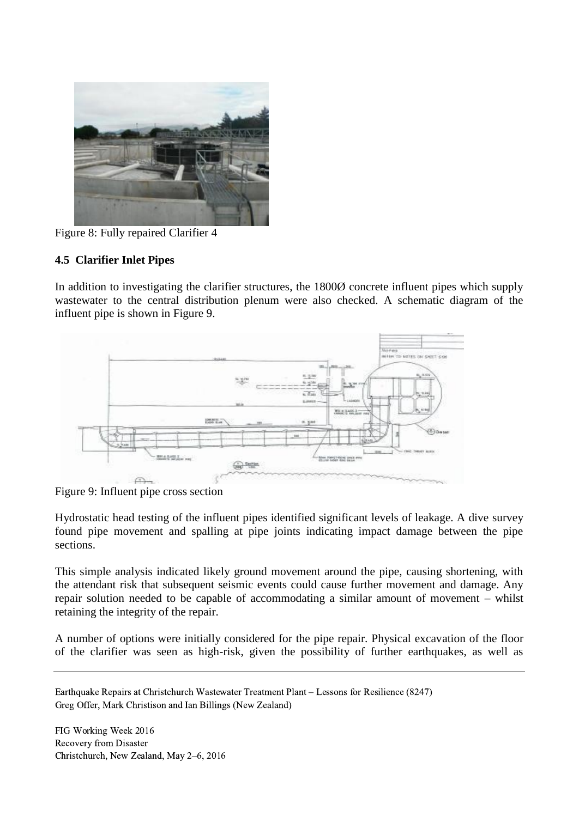

Figure 8: Fully repaired Clarifier 4

### **4.5 Clarifier Inlet Pipes**

In addition to investigating the clarifier structures, the 1800Ø concrete influent pipes which supply wastewater to the central distribution plenum were also checked. A schematic diagram of the influent pipe is shown in Figure 9.



Figure 9: Influent pipe cross section

Hydrostatic head testing of the influent pipes identified significant levels of leakage. A dive survey found pipe movement and spalling at pipe joints indicating impact damage between the pipe sections.

This simple analysis indicated likely ground movement around the pipe, causing shortening, with the attendant risk that subsequent seismic events could cause further movement and damage. Any repair solution needed to be capable of accommodating a similar amount of movement – whilst retaining the integrity of the repair.

A number of options were initially considered for the pipe repair. Physical excavation of the floor of the clarifier was seen as high-risk, given the possibility of further earthquakes, as well as

Earthquake Repairs at Christchurch Wastewater Treatment Plant – Lessons for Resilience (8247) Greg Offer, Mark Christison and Ian Billings (New Zealand)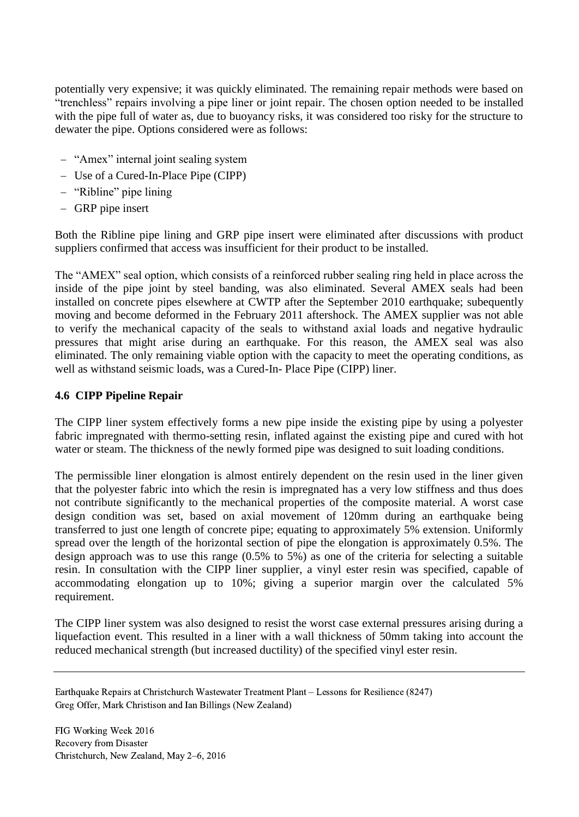potentially very expensive; it was quickly eliminated. The remaining repair methods were based on "trenchless" repairs involving a pipe liner or joint repair. The chosen option needed to be installed with the pipe full of water as, due to buoyancy risks, it was considered too risky for the structure to dewater the pipe. Options considered were as follows:

- "Amex" internal joint sealing system
- Use of a Cured-In-Place Pipe (CIPP)
- "Ribline" pipe lining
- GRP pipe insert

Both the Ribline pipe lining and GRP pipe insert were eliminated after discussions with product suppliers confirmed that access was insufficient for their product to be installed.

The "AMEX" seal option, which consists of a reinforced rubber sealing ring held in place across the inside of the pipe joint by steel banding, was also eliminated. Several AMEX seals had been installed on concrete pipes elsewhere at CWTP after the September 2010 earthquake; subequently moving and become deformed in the February 2011 aftershock. The AMEX supplier was not able to verify the mechanical capacity of the seals to withstand axial loads and negative hydraulic pressures that might arise during an earthquake. For this reason, the AMEX seal was also eliminated. The only remaining viable option with the capacity to meet the operating conditions, as well as withstand seismic loads, was a Cured-In- Place Pipe (CIPP) liner.

### **4.6 CIPP Pipeline Repair**

The CIPP liner system effectively forms a new pipe inside the existing pipe by using a polyester fabric impregnated with thermo-setting resin, inflated against the existing pipe and cured with hot water or steam. The thickness of the newly formed pipe was designed to suit loading conditions.

The permissible liner elongation is almost entirely dependent on the resin used in the liner given that the polyester fabric into which the resin is impregnated has a very low stiffness and thus does not contribute significantly to the mechanical properties of the composite material. A worst case design condition was set, based on axial movement of 120mm during an earthquake being transferred to just one length of concrete pipe; equating to approximately 5% extension. Uniformly spread over the length of the horizontal section of pipe the elongation is approximately 0.5%. The design approach was to use this range (0.5% to 5%) as one of the criteria for selecting a suitable resin. In consultation with the CIPP liner supplier, a vinyl ester resin was specified, capable of accommodating elongation up to 10%; giving a superior margin over the calculated 5% requirement.

The CIPP liner system was also designed to resist the worst case external pressures arising during a liquefaction event. This resulted in a liner with a wall thickness of 50mm taking into account the reduced mechanical strength (but increased ductility) of the specified vinyl ester resin.

Earthquake Repairs at Christchurch Wastewater Treatment Plant – Lessons for Resilience (8247) Greg Offer, Mark Christison and Ian Billings (New Zealand)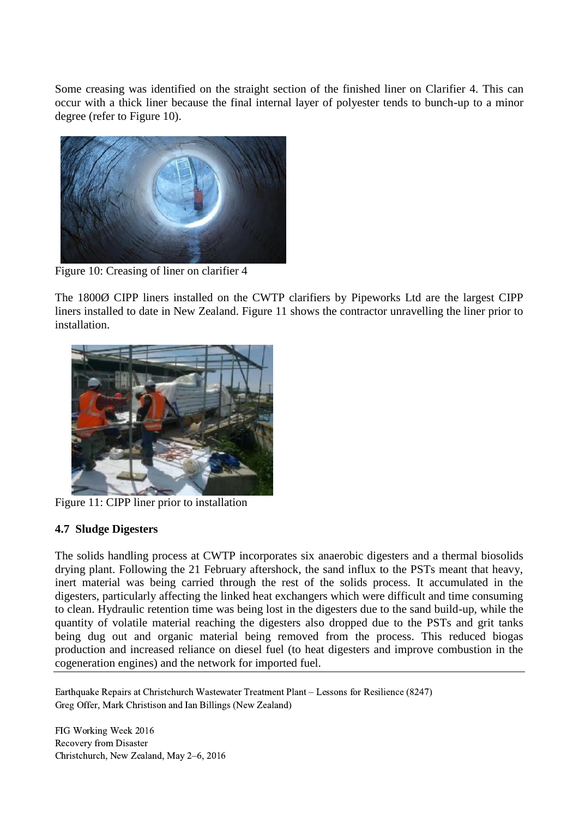Some creasing was identified on the straight section of the finished liner on Clarifier 4. This can occur with a thick liner because the final internal layer of polyester tends to bunch-up to a minor degree (refer to Figure 10).



Figure 10: Creasing of liner on clarifier 4

The 1800Ø CIPP liners installed on the CWTP clarifiers by Pipeworks Ltd are the largest CIPP liners installed to date in New Zealand. Figure 11 shows the contractor unravelling the liner prior to installation.



Figure 11: CIPP liner prior to installation

### **4.7 Sludge Digesters**

The solids handling process at CWTP incorporates six anaerobic digesters and a thermal biosolids drying plant. Following the 21 February aftershock, the sand influx to the PSTs meant that heavy, inert material was being carried through the rest of the solids process. It accumulated in the digesters, particularly affecting the linked heat exchangers which were difficult and time consuming to clean. Hydraulic retention time was being lost in the digesters due to the sand build-up, while the quantity of volatile material reaching the digesters also dropped due to the PSTs and grit tanks being dug out and organic material being removed from the process. This reduced biogas production and increased reliance on diesel fuel (to heat digesters and improve combustion in the cogeneration engines) and the network for imported fuel.

Earthquake Repairs at Christchurch Wastewater Treatment Plant – Lessons for Resilience (8247) Greg Offer, Mark Christison and Ian Billings (New Zealand)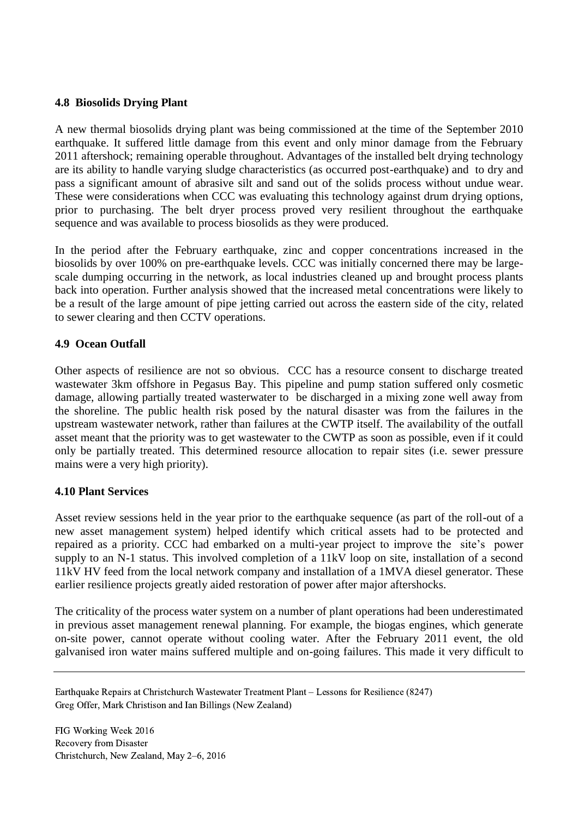#### **4.8 Biosolids Drying Plant**

A new thermal biosolids drying plant was being commissioned at the time of the September 2010 earthquake. It suffered little damage from this event and only minor damage from the February 2011 aftershock; remaining operable throughout. Advantages of the installed belt drying technology are its ability to handle varying sludge characteristics (as occurred post-earthquake) and to dry and pass a significant amount of abrasive silt and sand out of the solids process without undue wear. These were considerations when CCC was evaluating this technology against drum drying options, prior to purchasing. The belt dryer process proved very resilient throughout the earthquake sequence and was available to process biosolids as they were produced.

In the period after the February earthquake, zinc and copper concentrations increased in the biosolids by over 100% on pre-earthquake levels. CCC was initially concerned there may be largescale dumping occurring in the network, as local industries cleaned up and brought process plants back into operation. Further analysis showed that the increased metal concentrations were likely to be a result of the large amount of pipe jetting carried out across the eastern side of the city, related to sewer clearing and then CCTV operations.

### **4.9 Ocean Outfall**

Other aspects of resilience are not so obvious. CCC has a resource consent to discharge treated wastewater 3km offshore in Pegasus Bay. This pipeline and pump station suffered only cosmetic damage, allowing partially treated wasterwater to be discharged in a mixing zone well away from the shoreline. The public health risk posed by the natural disaster was from the failures in the upstream wastewater network, rather than failures at the CWTP itself. The availability of the outfall asset meant that the priority was to get wastewater to the CWTP as soon as possible, even if it could only be partially treated. This determined resource allocation to repair sites (i.e. sewer pressure mains were a very high priority).

#### **4.10 Plant Services**

Asset review sessions held in the year prior to the earthquake sequence (as part of the roll-out of a new asset management system) helped identify which critical assets had to be protected and repaired as a priority. CCC had embarked on a multi-year project to improve the site's power supply to an N-1 status. This involved completion of a 11kV loop on site, installation of a second 11kV HV feed from the local network company and installation of a 1MVA diesel generator. These earlier resilience projects greatly aided restoration of power after major aftershocks.

The criticality of the process water system on a number of plant operations had been underestimated in previous asset management renewal planning. For example, the biogas engines, which generate on-site power, cannot operate without cooling water. After the February 2011 event, the old galvanised iron water mains suffered multiple and on-going failures. This made it very difficult to

Earthquake Repairs at Christchurch Wastewater Treatment Plant – Lessons for Resilience (8247) Greg Offer, Mark Christison and Ian Billings (New Zealand)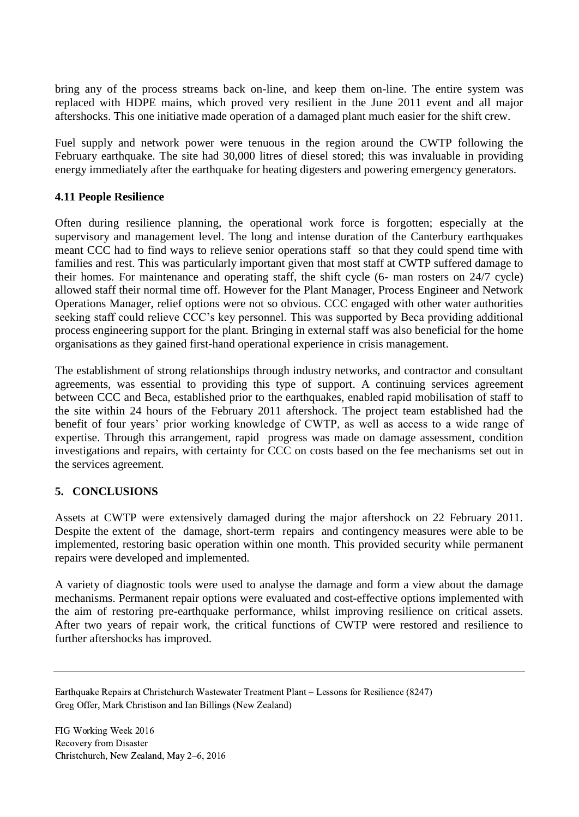bring any of the process streams back on-line, and keep them on-line. The entire system was replaced with HDPE mains, which proved very resilient in the June 2011 event and all major aftershocks. This one initiative made operation of a damaged plant much easier for the shift crew.

Fuel supply and network power were tenuous in the region around the CWTP following the February earthquake. The site had 30,000 litres of diesel stored; this was invaluable in providing energy immediately after the earthquake for heating digesters and powering emergency generators.

#### **4.11 People Resilience**

Often during resilience planning, the operational work force is forgotten; especially at the supervisory and management level. The long and intense duration of the Canterbury earthquakes meant CCC had to find ways to relieve senior operations staff so that they could spend time with families and rest. This was particularly important given that most staff at CWTP suffered damage to their homes. For maintenance and operating staff, the shift cycle (6- man rosters on 24/7 cycle) allowed staff their normal time off. However for the Plant Manager, Process Engineer and Network Operations Manager, relief options were not so obvious. CCC engaged with other water authorities seeking staff could relieve CCC's key personnel. This was supported by Beca providing additional process engineering support for the plant. Bringing in external staff was also beneficial for the home organisations as they gained first-hand operational experience in crisis management.

The establishment of strong relationships through industry networks, and contractor and consultant agreements, was essential to providing this type of support. A continuing services agreement between CCC and Beca, established prior to the earthquakes, enabled rapid mobilisation of staff to the site within 24 hours of the February 2011 aftershock. The project team established had the benefit of four years' prior working knowledge of CWTP, as well as access to a wide range of expertise. Through this arrangement, rapid progress was made on damage assessment, condition investigations and repairs, with certainty for CCC on costs based on the fee mechanisms set out in the services agreement.

### **5. CONCLUSIONS**

Assets at CWTP were extensively damaged during the major aftershock on 22 February 2011. Despite the extent of the damage, short-term repairs and contingency measures were able to be implemented, restoring basic operation within one month. This provided security while permanent repairs were developed and implemented.

A variety of diagnostic tools were used to analyse the damage and form a view about the damage mechanisms. Permanent repair options were evaluated and cost-effective options implemented with the aim of restoring pre-earthquake performance, whilst improving resilience on critical assets. After two years of repair work, the critical functions of CWTP were restored and resilience to further aftershocks has improved.

Earthquake Repairs at Christchurch Wastewater Treatment Plant – Lessons for Resilience (8247) Greg Offer, Mark Christison and Ian Billings (New Zealand)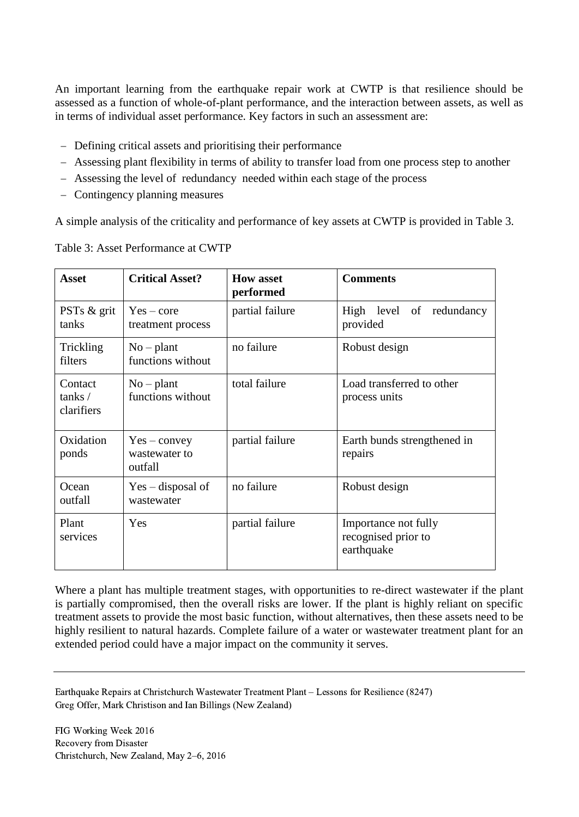An important learning from the earthquake repair work at CWTP is that resilience should be assessed as a function of whole-of-plant performance, and the interaction between assets, as well as in terms of individual asset performance. Key factors in such an assessment are:

- Defining critical assets and prioritising their performance
- Assessing plant flexibility in terms of ability to transfer load from one process step to another
- Assessing the level of redundancy needed within each stage of the process
- Contingency planning measures

A simple analysis of the criticality and performance of key assets at CWTP is provided in Table 3.

| <b>Asset</b>                    | <b>Critical Asset?</b>                     | <b>How asset</b><br>performed | <b>Comments</b>                                           |
|---------------------------------|--------------------------------------------|-------------------------------|-----------------------------------------------------------|
| PSTs & grit<br>tanks            | $Yes - core$<br>treatment process          | partial failure               | High level of redundancy<br>provided                      |
| Trickling<br>filters            | $No$ – plant<br>functions without          | no failure                    | Robust design                                             |
| Contact<br>tanks/<br>clarifiers | $No$ – plant<br>functions without          | total failure                 | Load transferred to other<br>process units                |
| Oxidation<br>ponds              | $Yes - convex$<br>wastewater to<br>outfall | partial failure               | Earth bunds strengthened in<br>repairs                    |
| Ocean<br>outfall                | $Yes - disposal of$<br>wastewater          | no failure                    | Robust design                                             |
| Plant<br>services               | Yes                                        | partial failure               | Importance not fully<br>recognised prior to<br>earthquake |

Table 3: Asset Performance at CWTP

Where a plant has multiple treatment stages, with opportunities to re-direct wastewater if the plant is partially compromised, then the overall risks are lower. If the plant is highly reliant on specific treatment assets to provide the most basic function, without alternatives, then these assets need to be highly resilient to natural hazards. Complete failure of a water or wastewater treatment plant for an extended period could have a major impact on the community it serves.

Earthquake Repairs at Christchurch Wastewater Treatment Plant – Lessons for Resilience (8247) Greg Offer, Mark Christison and Ian Billings (New Zealand)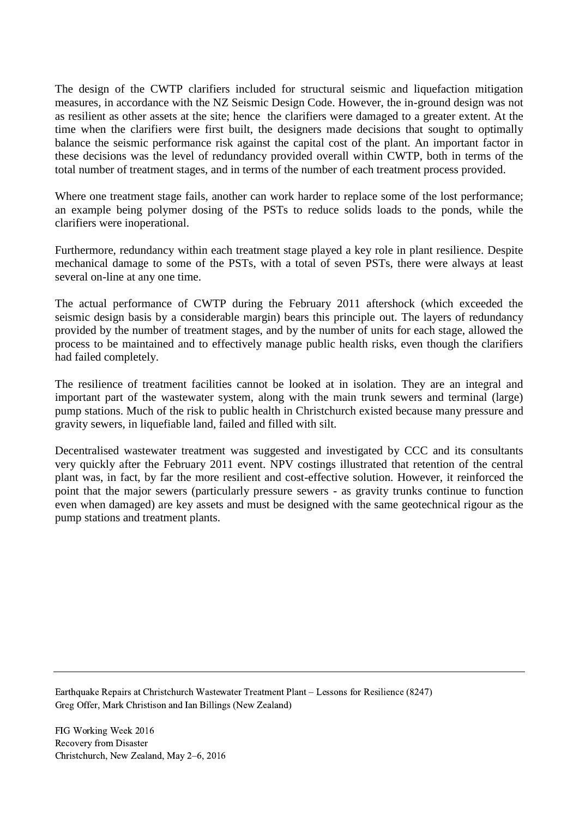The design of the CWTP clarifiers included for structural seismic and liquefaction mitigation measures, in accordance with the NZ Seismic Design Code. However, the in-ground design was not as resilient as other assets at the site; hence the clarifiers were damaged to a greater extent. At the time when the clarifiers were first built, the designers made decisions that sought to optimally balance the seismic performance risk against the capital cost of the plant. An important factor in these decisions was the level of redundancy provided overall within CWTP, both in terms of the total number of treatment stages, and in terms of the number of each treatment process provided.

Where one treatment stage fails, another can work harder to replace some of the lost performance; an example being polymer dosing of the PSTs to reduce solids loads to the ponds, while the clarifiers were inoperational.

Furthermore, redundancy within each treatment stage played a key role in plant resilience. Despite mechanical damage to some of the PSTs, with a total of seven PSTs, there were always at least several on-line at any one time.

The actual performance of CWTP during the February 2011 aftershock (which exceeded the seismic design basis by a considerable margin) bears this principle out. The layers of redundancy provided by the number of treatment stages, and by the number of units for each stage, allowed the process to be maintained and to effectively manage public health risks, even though the clarifiers had failed completely.

The resilience of treatment facilities cannot be looked at in isolation. They are an integral and important part of the wastewater system, along with the main trunk sewers and terminal (large) pump stations. Much of the risk to public health in Christchurch existed because many pressure and gravity sewers, in liquefiable land, failed and filled with silt.

Decentralised wastewater treatment was suggested and investigated by CCC and its consultants very quickly after the February 2011 event. NPV costings illustrated that retention of the central plant was, in fact, by far the more resilient and cost-effective solution. However, it reinforced the point that the major sewers (particularly pressure sewers - as gravity trunks continue to function even when damaged) are key assets and must be designed with the same geotechnical rigour as the pump stations and treatment plants.

Earthquake Repairs at Christchurch Wastewater Treatment Plant – Lessons for Resilience (8247) Greg Offer, Mark Christison and Ian Billings (New Zealand)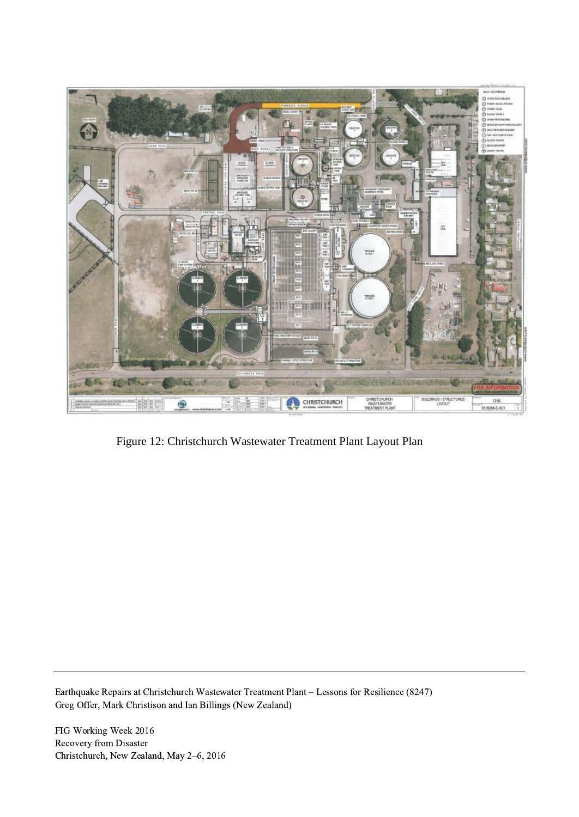

Figure 12: Christchurch Wastewater Treatment Plant Layout Plan

Earthquake Repairs at Christchurch Wastewater Treatment Plant – Lessons for Resilience (8247) Greg Offer, Mark Christison and Ian Billings (New Zealand)